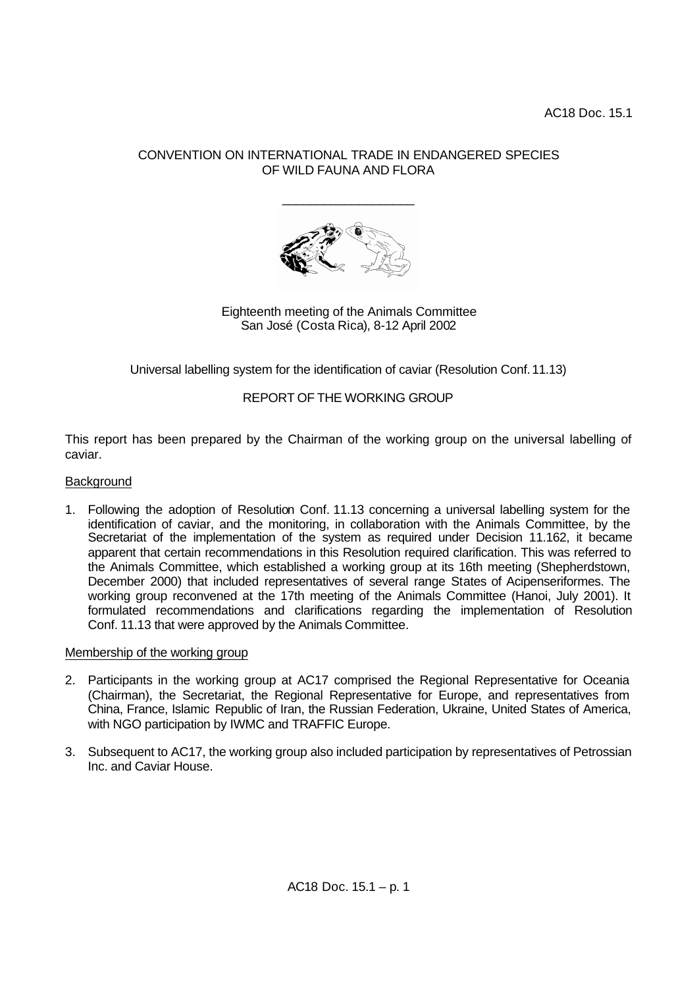## CONVENTION ON INTERNATIONAL TRADE IN ENDANGERED SPECIES OF WILD FAUNA AND FLORA

\_\_\_\_\_\_\_\_\_\_\_\_\_\_\_\_\_\_\_



Eighteenth meeting of the Animals Committee San José (Costa Rica), 8-12 April 2002

Universal labelling system for the identification of caviar (Resolution Conf.11.13)

# REPORT OF THE WORKING GROUP

This report has been prepared by the Chairman of the working group on the universal labelling of caviar.

### **Background**

1. Following the adoption of Resolution Conf. 11.13 concerning a universal labelling system for the identification of caviar, and the monitoring, in collaboration with the Animals Committee, by the Secretariat of the implementation of the system as required under Decision 11.162, it became apparent that certain recommendations in this Resolution required clarification. This was referred to the Animals Committee, which established a working group at its 16th meeting (Shepherdstown, December 2000) that included representatives of several range States of Acipenseriformes. The working group reconvened at the 17th meeting of the Animals Committee (Hanoi, July 2001). It formulated recommendations and clarifications regarding the implementation of Resolution Conf. 11.13 that were approved by the Animals Committee.

### Membership of the working group

- 2. Participants in the working group at AC17 comprised the Regional Representative for Oceania (Chairman), the Secretariat, the Regional Representative for Europe, and representatives from China, France, Islamic Republic of Iran, the Russian Federation, Ukraine, United States of America, with NGO participation by IWMC and TRAFFIC Europe.
- 3. Subsequent to AC17, the working group also included participation by representatives of Petrossian Inc. and Caviar House.